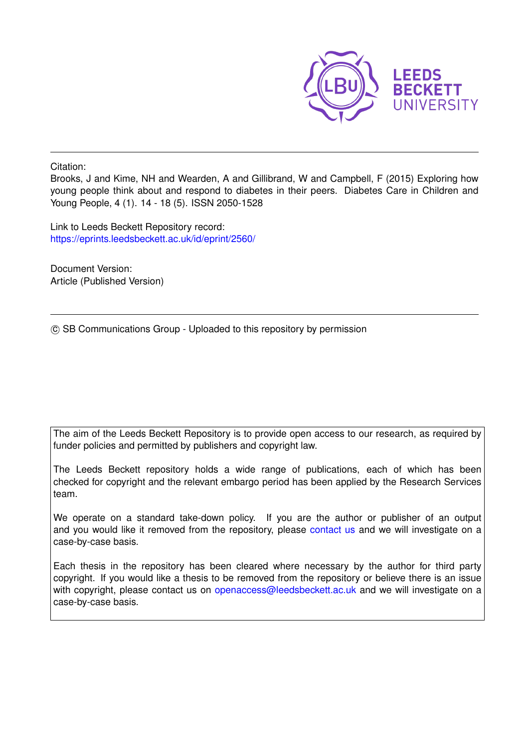

Citation:

Brooks, J and Kime, NH and Wearden, A and Gillibrand, W and Campbell, F (2015) Exploring how young people think about and respond to diabetes in their peers. Diabetes Care in Children and Young People, 4 (1). 14 - 18 (5). ISSN 2050-1528

Link to Leeds Beckett Repository record: <https://eprints.leedsbeckett.ac.uk/id/eprint/2560/>

Document Version: Article (Published Version)

(c) SB Communications Group - Uploaded to this repository by permission

The aim of the Leeds Beckett Repository is to provide open access to our research, as required by funder policies and permitted by publishers and copyright law.

The Leeds Beckett repository holds a wide range of publications, each of which has been checked for copyright and the relevant embargo period has been applied by the Research Services team.

We operate on a standard take-down policy. If you are the author or publisher of an output and you would like it removed from the repository, please [contact us](mailto:openaccess@leedsbeckett.ac.uk) and we will investigate on a case-by-case basis.

Each thesis in the repository has been cleared where necessary by the author for third party copyright. If you would like a thesis to be removed from the repository or believe there is an issue with copyright, please contact us on [openaccess@leedsbeckett.ac.uk](mailto:openaccess@leedsbeckett.ac.uk) and we will investigate on a case-by-case basis.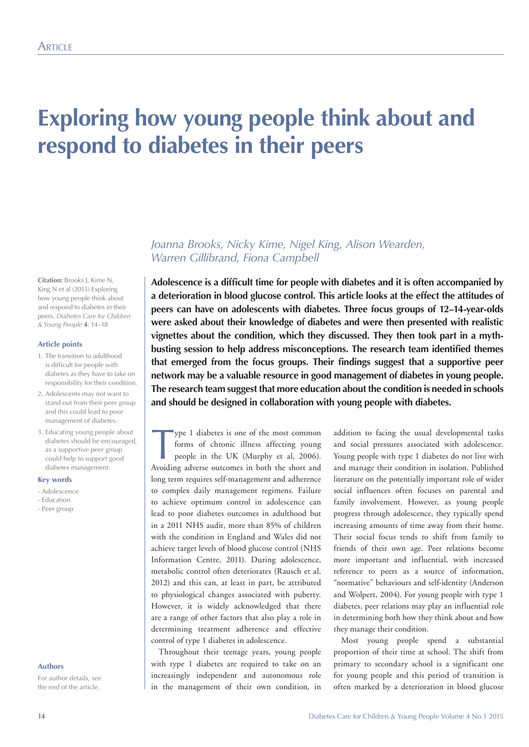# **Exploring how young people think about and respond to diabetes in their peers**

*Joanna Brooks, Nicky Kime, Nigel King, Alison Wearden, Warren Gillibrand, Fiona Campbell*

**Adolescence is a difficult time for people with diabetes and it is often accompanied by a deterioration in blood glucose control. This article looks at the effect the attitudes of peers can have on adolescents with diabetes. Three focus groups of 12–14-year-olds were asked about their knowledge of diabetes and were then presented with realistic vignettes about the condition, which they discussed. They then took part in a mythbusting session to help address misconceptions. The research team identified themes that emerged from the focus groups. Their findings suggest that a supportive peer network may be a valuable resource in good management of diabetes in young people. The research team suggest that more education about the condition is needed in schools and should be designed in collaboration with young people with diabetes.**

Type 1 diabetes is one of the most common<br>forms of chronic illness affecting young<br>people in the UK (Murphy et al. 2006). forms of chronic illness affecting young people in the UK (Murphy et al, 2006). Avoiding adverse outcomes in both the short and long term requires self-management and adherence to complex daily management regimens. Failure to achieve optimum control in adolescence can lead to poor diabetes outcomes in adulthood but in a 2011 NHS audit, more than 85% of children with the condition in England and Wales did not achieve target levels of blood glucose control (NHS Information Centre, 2011). During adolescence, metabolic control often deteriorates (Rausch et al, 2012) and this can, at least in part, be attributed to physiological changes associated with puberty. However, it is widely acknowledged that there are a range of other factors that also play a role in determining treatment adherence and effective control of type 1 diabetes in adolescence.

Throughout their teenage years, young people with type 1 diabetes are required to take on an increasingly independent and autonomous role in the management of their own condition, in

addition to facing the usual developmental tasks and social pressures associated with adolescence. Young people with type 1 diabetes do not live with and manage their condition in isolation. Published literature on the potentially important role of wider social influences often focuses on parental and family involvement. However, as young people progress through adolescence, they typically spend increasing amounts of time away from their home. Their social focus tends to shift from family to friends of their own age. Peer relations become more important and influential, with increased reference to peers as a source of information, "normative" behaviours and self-identity (Anderson and Wolpert, 2004). For young people with type 1 diabetes, peer relations may play an influential role in determining both how they think about and how they manage their condition.

Most young people spend a substantial proportion of their time at school. The shift from primary to secondary school is a significant one for young people and this period of transition is often marked by a deterioration in blood glucose

#### **Citation:** Brooks J, Kime N, King N et al (2015) Exploring how young people think about and respond to diabetes in their peers. *Diabetes Care for Children & Young People* **4**: 14–18

## **Article points**

- 1. The transition to adulthood is difficult for people with diabetes as they have to take on responsibility for their condition.
- 2. Adolescents may not want to stand out from their peer group and this could lead to poor management of diabetes.
- 3. Educating young people about diabetes should be encouraged, as a supportive peer group could help to support good diabetes management.

### **Key words**

- Adolescence
- Education
- Peer group

#### **Authors**

For author details, see the end of the article.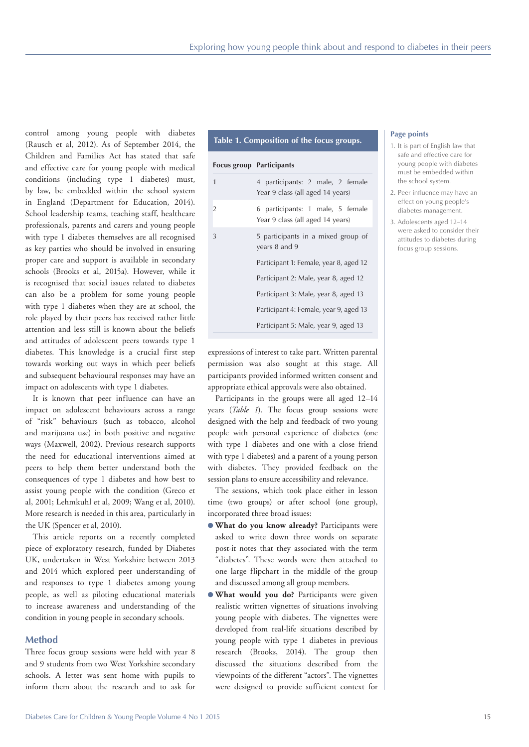control among young people with diabetes (Rausch et al, 2012). As of September 2014, the Children and Families Act has stated that safe and effective care for young people with medical conditions (including type 1 diabetes) must, by law, be embedded within the school system in England (Department for Education, 2014). School leadership teams, teaching staff, healthcare professionals, parents and carers and young people with type 1 diabetes themselves are all recognised as key parties who should be involved in ensuring proper care and support is available in secondary schools (Brooks et al, 2015a). However, while it is recognised that social issues related to diabetes can also be a problem for some young people with type 1 diabetes when they are at school, the role played by their peers has received rather little attention and less still is known about the beliefs and attitudes of adolescent peers towards type 1 diabetes. This knowledge is a crucial first step towards working out ways in which peer beliefs and subsequent behavioural responses may have an impact on adolescents with type 1 diabetes.

It is known that peer influence can have an impact on adolescent behaviours across a range of "risk" behaviours (such as tobacco, alcohol and marijuana use) in both positive and negative ways (Maxwell, 2002). Previous research supports the need for educational interventions aimed at peers to help them better understand both the consequences of type 1 diabetes and how best to assist young people with the condition (Greco et al, 2001; Lehmkuhl et al, 2009; Wang et al, 2010). More research is needed in this area, particularly in the UK (Spencer et al, 2010).

This article reports on a recently completed piece of exploratory research, funded by Diabetes UK, undertaken in West Yorkshire between 2013 and 2014 which explored peer understanding of and responses to type 1 diabetes among young people, as well as piloting educational materials to increase awareness and understanding of the condition in young people in secondary schools.

## **Method**

Three focus group sessions were held with year 8 and 9 students from two West Yorkshire secondary schools. A letter was sent home with pupils to inform them about the research and to ask for

# **Table 1. Composition of the focus groups.**

#### **Focus group Participants**

| $\mathbf{1}$   | 4 participants: 2 male, 2 female<br>Year 9 class (all aged 14 years) |
|----------------|----------------------------------------------------------------------|
| $\overline{2}$ | 6 participants: 1 male, 5 female<br>Year 9 class (all aged 14 years) |
| 3              | 5 participants in a mixed group of<br>years 8 and 9                  |
|                | Participant 1: Female, year 8, aged 12                               |
|                | Participant 2: Male, year 8, aged 12                                 |
|                | Participant 3: Male, year 8, aged 13                                 |
|                | Participant 4: Female, year 9, aged 13                               |
|                | Participant 5: Male, year 9, aged 13                                 |

## **Page points**

- 1. It is part of English law that safe and effective care for young people with diabetes must be embedded within the school system.
- 2. Peer influence may have an effect on young people's diabetes management.
- 3. Adolescents aged 12–14 were asked to consider their attitudes to diabetes during focus group sessions.

expressions of interest to take part. Written parental permission was also sought at this stage. All participants provided informed written consent and appropriate ethical approvals were also obtained.

Participants in the groups were all aged 12–14 years (*Table 1*). The focus group sessions were designed with the help and feedback of two young people with personal experience of diabetes (one with type 1 diabetes and one with a close friend with type 1 diabetes) and a parent of a young person with diabetes. They provided feedback on the session plans to ensure accessibility and relevance.

The sessions, which took place either in lesson time (two groups) or after school (one group), incorporated three broad issues:

- **What do you know already?** Participants were asked to write down three words on separate post-it notes that they associated with the term "diabetes". These words were then attached to one large flipchart in the middle of the group and discussed among all group members.
- **What would you do?** Participants were given realistic written vignettes of situations involving young people with diabetes. The vignettes were developed from real-life situations described by young people with type 1 diabetes in previous research (Brooks, 2014). The group then discussed the situations described from the viewpoints of the different "actors". The vignettes were designed to provide sufficient context for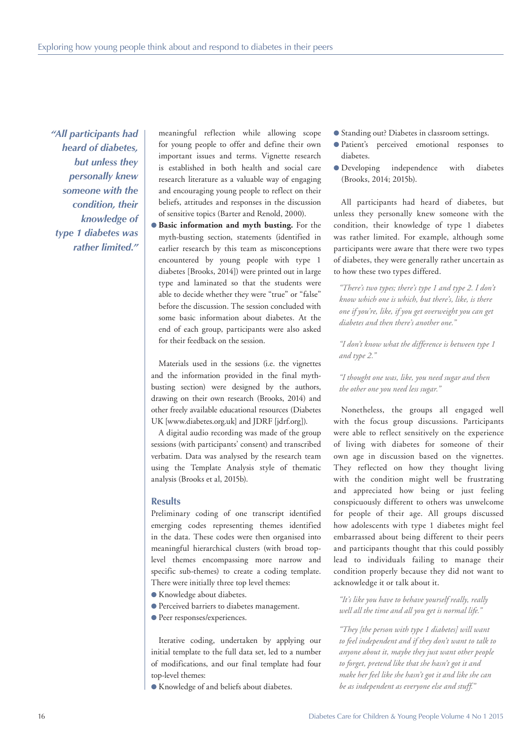*"All participants had heard of diabetes, but unless they personally knew someone with the condition, their knowledge of type 1 diabetes was rather limited."* 

meaningful reflection while allowing scope for young people to offer and define their own important issues and terms. Vignette research is established in both health and social care research literature as a valuable way of engaging and encouraging young people to reflect on their beliefs, attitudes and responses in the discussion of sensitive topics (Barter and Renold, 2000).

**e** Basic information and myth busting. For the myth-busting section, statements (identified in earlier research by this team as misconceptions encountered by young people with type 1 diabetes [Brooks, 2014]) were printed out in large type and laminated so that the students were able to decide whether they were "true" or "false" before the discussion. The session concluded with some basic information about diabetes. At the end of each group, participants were also asked for their feedback on the session.

Materials used in the sessions (i.e. the vignettes and the information provided in the final mythbusting section) were designed by the authors, drawing on their own research (Brooks, 2014) and other freely available educational resources (Diabetes UK [www.diabetes.org.uk] and JDRF [jdrf.org]).

A digital audio recording was made of the group sessions (with participants' consent) and transcribed verbatim. Data was analysed by the research team using the Template Analysis style of thematic analysis (Brooks et al, 2015b).

# **Results**

Preliminary coding of one transcript identified emerging codes representing themes identified in the data. These codes were then organised into meaningful hierarchical clusters (with broad toplevel themes encompassing more narrow and specific sub-themes) to create a coding template. There were initially three top level themes:

- **Knowledge about diabetes.**
- **Perceived barriers to diabetes management.**
- Peer responses/experiences.

Iterative coding, undertaken by applying our initial template to the full data set, led to a number of modifications, and our final template had four top-level themes:

l Knowledge of and beliefs about diabetes.

- Standing out? Diabetes in classroom settings.
- **Patient's** perceived emotional responses to diabetes.
- **O** Developing independence with diabetes (Brooks, 2014; 2015b).

All participants had heard of diabetes, but unless they personally knew someone with the condition, their knowledge of type 1 diabetes was rather limited. For example, although some participants were aware that there were two types of diabetes, they were generally rather uncertain as to how these two types differed.

*"There's two types; there's type 1 and type 2. I don't know which one is which, but there's, like, is there one if you're, like, if you get overweight you can get diabetes and then there's another one."*

*"I don't know what the difference is between type 1 and type 2."*

*"I thought one was, like, you need sugar and then the other one you need less sugar."*

Nonetheless, the groups all engaged well with the focus group discussions. Participants were able to reflect sensitively on the experience of living with diabetes for someone of their own age in discussion based on the vignettes. They reflected on how they thought living with the condition might well be frustrating and appreciated how being or just feeling conspicuously different to others was unwelcome for people of their age. All groups discussed how adolescents with type 1 diabetes might feel embarrassed about being different to their peers and participants thought that this could possibly lead to individuals failing to manage their condition properly because they did not want to acknowledge it or talk about it.

*"It's like you have to behave yourself really, really well all the time and all you get is normal life."*

*"They [the person with type 1 diabetes] will want to feel independent and if they don't want to talk to anyone about it, maybe they just want other people to forget, pretend like that she hasn't got it and make her feel like she hasn't got it and like she can be as independent as everyone else and stuff."*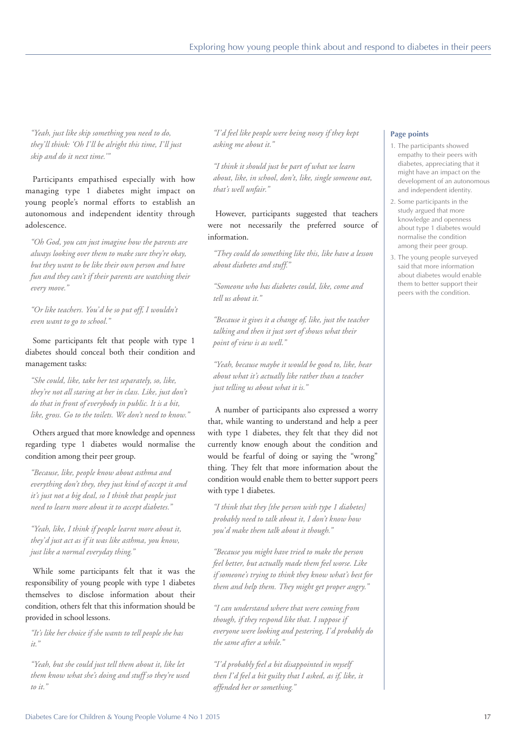*"Yeah, just like skip something you need to do, they'll think: 'Oh I'll be alright this time, I'll just skip and do it next time.'"*

Participants empathised especially with how managing type 1 diabetes might impact on young people's normal efforts to establish an autonomous and independent identity through adolescence.

*"Oh God, you can just imagine how the parents are always looking over them to make sure they're okay, but they want to be like their own person and have fun and they can't if their parents are watching their every move."*

*"Or like teachers. You'd be so put off, I wouldn't even want to go to school."*

Some participants felt that people with type 1 diabetes should conceal both their condition and management tasks:

*"She could, like, take her test separately, so, like, they're not all staring at her in class. Like, just don't do that in front of everybody in public. It is a bit, like, gross. Go to the toilets. We don't need to know."*

Others argued that more knowledge and openness regarding type 1 diabetes would normalise the condition among their peer group.

*"Because, like, people know about asthma and everything don't they, they just kind of accept it and it's just not a big deal, so I think that people just need to learn more about it to accept diabetes."*

*"Yeah, like, I think if people learnt more about it, they'd just act as if it was like asthma, you know, just like a normal everyday thing."*

While some participants felt that it was the responsibility of young people with type 1 diabetes themselves to disclose information about their condition, others felt that this information should be provided in school lessons.

*"It's like her choice if she wants to tell people she has it."*

*"Yeah, but she could just tell them about it, like let them know what she's doing and stuff so they're used to it."*

*"I'd feel like people were being nosey if they kept asking me about it."*

*"I think it should just be part of what we learn about, like, in school, don't, like, single someone out, that's well unfair."*

However, participants suggested that teachers were not necessarily the preferred source of information.

*"They could do something like this, like have a lesson about diabetes and stuff."*

*"Someone who has diabetes could, like, come and tell us about it."*

*"Because it gives it a change of, like, just the teacher talking and then it just sort of shows what their point of view is as well."*

*"Yeah, because maybe it would be good to, like, hear about what it's actually like rather than a teacher just telling us about what it is."*

A number of participants also expressed a worry that, while wanting to understand and help a peer with type 1 diabetes, they felt that they did not currently know enough about the condition and would be fearful of doing or saying the "wrong" thing. They felt that more information about the condition would enable them to better support peers with type 1 diabetes.

*"I think that they [the person with type 1 diabetes] probably need to talk about it, I don't know how you'd make them talk about it though."*

*"Because you might have tried to make the person feel better, but actually made them feel worse. Like if someone's trying to think they know what's best for them and help them. They might get proper angry."*

*"I can understand where that were coming from though, if they respond like that. I suppose if everyone were looking and pestering, I'd probably do the same after a while."*

*"I'd probably feel a bit disappointed in myself then I'd feel a bit guilty that I asked, as if, like, it offended her or something."*

# **Page points**

- 1. The participants showed empathy to their peers with diabetes, appreciating that it might have an impact on the development of an autonomous and independent identity.
- 2. Some participants in the study argued that more knowledge and openness about type 1 diabetes would normalise the condition among their peer group.
- 3. The young people surveyed said that more information about diabetes would enable them to better support their peers with the condition.